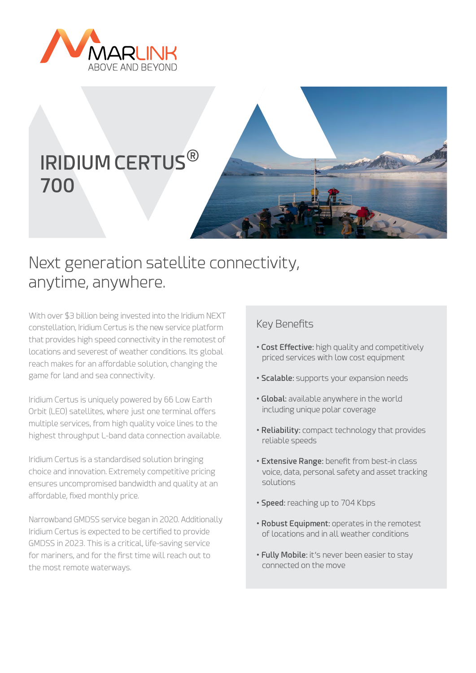

# **IRIDIUM CERTUS**® **700**



## Next generation satellite connectivity, anytime, anywhere.

With over \$3 billion being invested into the Iridium NEXT constellation, Iridium Certus is the new service platform that provides high speed connectivity in the remotest of locations and severest of weather conditions. Its global reach makes for an affordable solution, changing the game for land and sea connectivity.

Iridium Certus is uniquely powered by 66 Low Earth Orbit (LEO) satellites, where just one terminal offers multiple services, from high quality voice lines to the highest throughput L-band data connection available.

Iridium Certus is a standardised solution bringing choice and innovation. Extremely competitive pricing ensures uncompromised bandwidth and quality at an affordable, fixed monthly price.

Narrowband GMDSS service began in 2020. Additionally Iridium Certus is expected to be certified to provide GMDSS in 2023. This is a critical, life-saving service for mariners, and for the first time will reach out to the most remote waterways.

### Key Benefits

- **Cost Effective:** high quality and competitively priced services with low cost equipment
- **Scalable:** supports your expansion needs
- **Global:** available anywhere in the world including unique polar coverage
- **Reliability:** compact technology that provides reliable speeds
- **Extensive Range:** benefit from best-in class voice, data, personal safety and asset tracking solutions
- **Speed:** reaching up to 704 Kbps
- **Robust Equipment:** operates in the remotest of locations and in all weather conditions
- **Fully Mobile:** it's never been easier to stay connected on the move